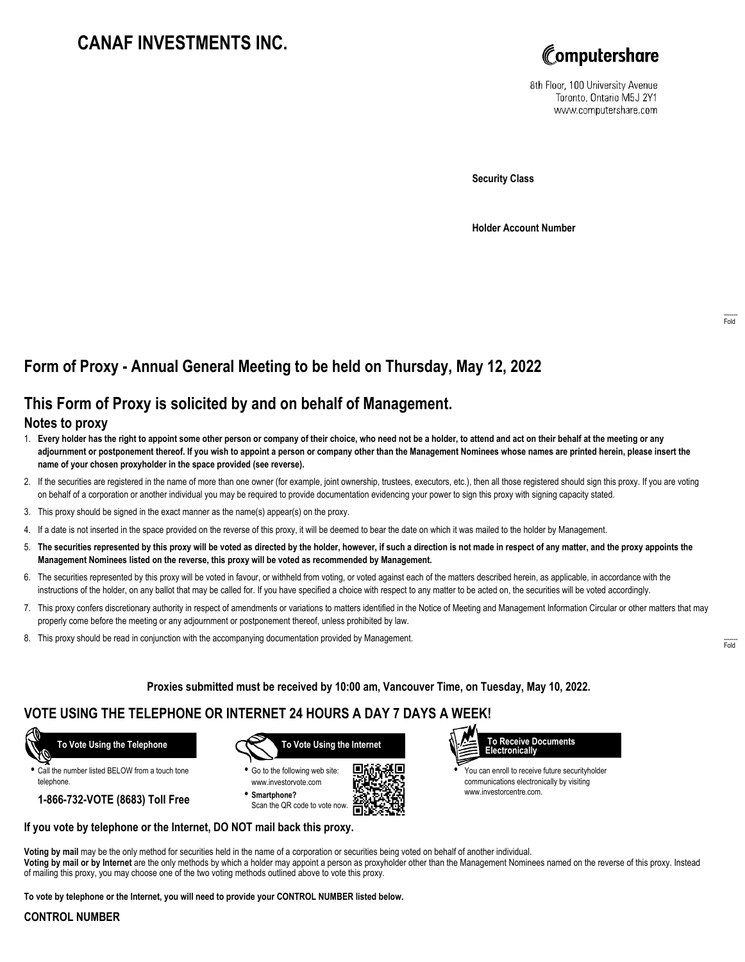# **CANAF INVESTMENTS INC.**



8th Floor, 100 University Avenue Toronto, Ontario M5J 2Y1 www.computershare.com

**Security Class**

**Holder Account Number**

## **Form of Proxy - Annual General Meeting to be held on Thursday, May 12, 2022**

### **This Form of Proxy is solicited by and on behalf of Management.**

### **Notes to proxy**

- 1. **Every holder has the right to appoint some other person or company of their choice, who need not be a holder, to attend and act on their behalf at the meeting or any adjournment or postponement thereof. If you wish to appoint a person or company other than the Management Nominees whose names are printed herein, please insert the name of your chosen proxyholder in the space provided (see reverse).**
- 2. If the securities are registered in the name of more than one owner (for example, joint ownership, trustees, executors, etc.), then all those registered should sign this proxy. If you are voting on behalf of a corporation or another individual you may be required to provide documentation evidencing your power to sign this proxy with signing capacity stated.
- 3. This proxy should be signed in the exact manner as the name(s) appear(s) on the proxy.
- 4. If a date is not inserted in the space provided on the reverse of this proxy, it will be deemed to bear the date on which it was mailed to the holder by Management.
- 5. **The securities represented by this proxy will be voted as directed by the holder, however, if such a direction is not made in respect of any matter, and the proxy appoints the Management Nominees listed on the reverse, this proxy will be voted as recommended by Management.**
- 6. The securities represented by this proxy will be voted in favour, or withheld from voting, or voted against each of the matters described herein, as applicable, in accordance with the instructions of the holder, on any ballot that may be called for. If you have specified a choice with respect to any matter to be acted on, the securities will be voted accordingly.
- 7. This proxy confers discretionary authority in respect of amendments or variations to matters identified in the Notice of Meeting and Management Information Circular or other matters that may properly come before the meeting or any adjournment or postponement thereof, unless prohibited by law.
- 8. This proxy should be read in conjunction with the accompanying documentation provided by Management.

**Proxies submitted must be received by 10:00 am, Vancouver Time, on Tuesday, May 10, 2022.**

### **VOTE USING THE TELEPHONE OR INTERNET 24 HOURS A DAY 7 DAYS A WEEK!**

 **To Vote Using the Telephone**

**•** Call the number listed BELOW from a touch tone telephone.

**1-866-732-VOTE (8683) Toll Free**



**•** Go to the following web site: www.investorvote.com **• Smartphone?**

Scan the QR code to vote now.





**•** You can enroll to receive future securityholder communications electronically by visiting www.investorcentre.com.

#### **If you vote by telephone or the Internet, DO NOT mail back this proxy.**

**Voting by mail** may be the only method for securities held in the name of a corporation or securities being voted on behalf of another individual. **Voting by mail or by Internet** are the only methods by which a holder may appoint a person as proxyholder other than the Management Nominees named on the reverse of this proxy. Instead of mailing this proxy, you may choose one of the two voting methods outlined above to vote this proxy.

**To vote by telephone or the Internet, you will need to provide your CONTROL NUMBER listed below.**

#### **CONTROL NUMBER**